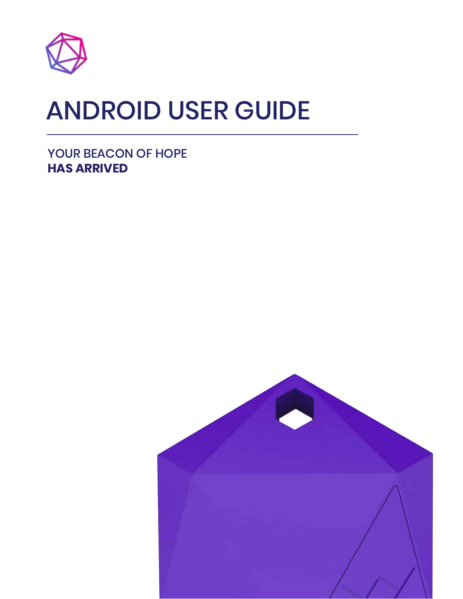

# ANDROID USER GUIDE

YOUR BEACON OF HOPE **HAS ARRIVED**

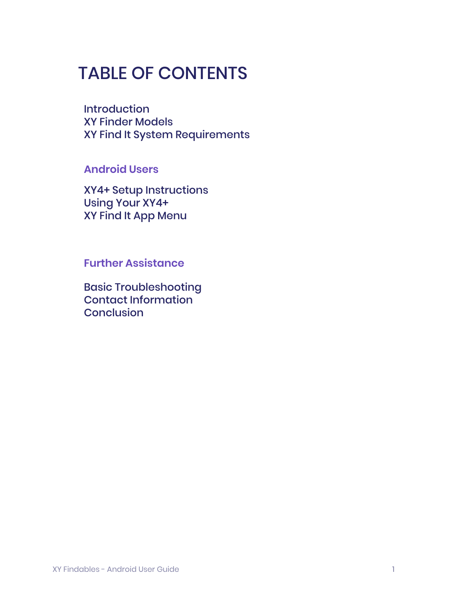## TABLE OF CONTENTS

**Introduction** XY Finder Models XY Find It System Requirements

## **Android Users**

XY4+ Setup Instructions Using Your XY4+ XY Find It App Menu

**Further Assistance**

Basic Troubleshooting Contact Information **Conclusion**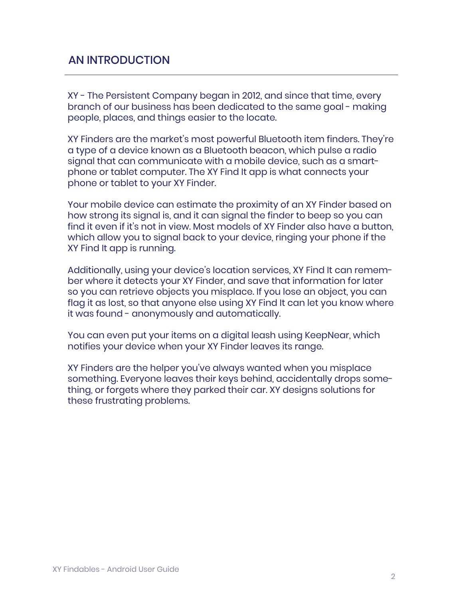## AN INTRODUCTION

XY - The Persistent Company began in 2012, and since that time, every branch of our business has been dedicated to the same goal - making people, places, and things easier to the locate.

XY Finders are the market's most powerful Bluetooth item finders. They're a type of a device known as a Bluetooth beacon, which pulse a radio signal that can communicate with a mobile device, such as a smartphone or tablet computer. The XY Find It app is what connects your phone or tablet to your XY Finder.

Your mobile device can estimate the proximity of an XY Finder based on how strong its signal is, and it can signal the finder to beep so you can find it even if it's not in view. Most models of XY Finder also have a button, which allow you to signal back to your device, ringing your phone if the XY Find It app is running.

Additionally, using your device's location services, XY Find It can remember where it detects your XY Finder, and save that information for later so you can retrieve objects you misplace. If you lose an object, you can flag it as lost, so that anyone else using XY Find It can let you know where it was found - anonymously and automatically.

You can even put your items on a digital leash using KeepNear, which notifies your device when your XY Finder leaves its range.

XY Finders are the helper you've always wanted when you misplace something. Everyone leaves their keys behind, accidentally drops something, or forgets where they parked their car. XY designs solutions for these frustrating problems.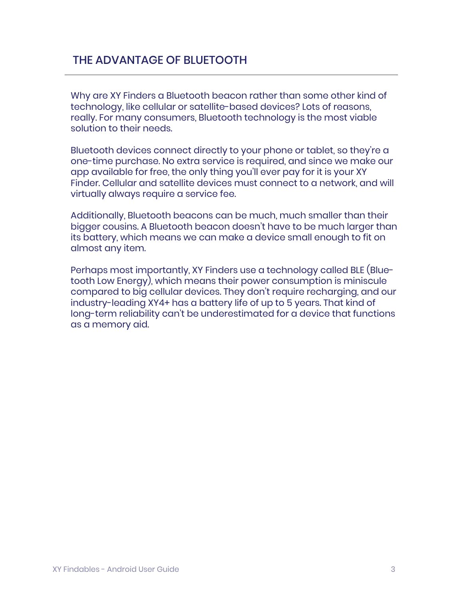## THE ADVANTAGE OF BLUETOOTH

Why are XY Finders a Bluetooth beacon rather than some other kind of technology, like cellular or satellite-based devices? Lots of reasons, really. For many consumers, Bluetooth technology is the most viable solution to their needs.

Bluetooth devices connect directly to your phone or tablet, so they're a one-time purchase. No extra service is required, and since we make our app available for free, the only thing you'll ever pay for it is your XY Finder. Cellular and satellite devices must connect to a network, and will virtually always require a service fee.

Additionally, Bluetooth beacons can be much, much smaller than their bigger cousins. A Bluetooth beacon doesn't have to be much larger than its battery, which means we can make a device small enough to fit on almost any item.

Perhaps most importantly, XY Finders use a technology called BLE (Bluetooth Low Energy), which means their power consumption is miniscule compared to big cellular devices. They don't require recharging, and our industry-leading XY4+ has a battery life of up to 5 years. That kind of long-term reliability can't be underestimated for a device that functions as a memory aid.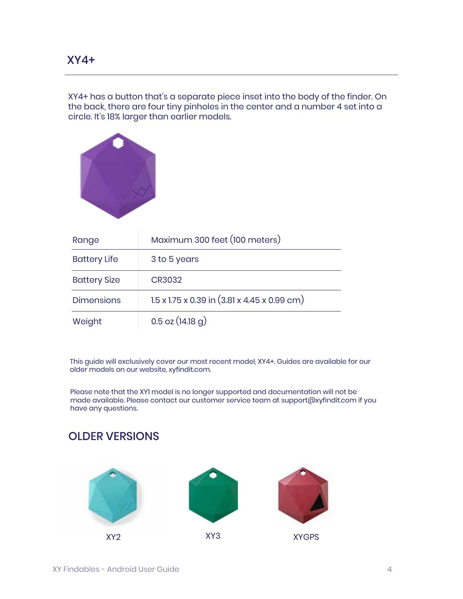XY4+ has a button that's a separate piece inset into the body of the finder. On the back, there are four tiny pinholes in the center and a number 4 set into a circle. It's 18% larger than earlier models.



| Range               | Maximum 300 feet (100 meters)                                        |  |
|---------------------|----------------------------------------------------------------------|--|
| <b>Battery Life</b> | 3 to 5 years                                                         |  |
| <b>Battery Size</b> | CR3032                                                               |  |
| <b>Dimensions</b>   | $1.5 \times 1.75 \times 0.39$ in $(3.81 \times 4.45 \times 0.99$ cm) |  |
| Weight              | $0.5$ oz $(14.18)$ g)                                                |  |

This guide will exclusively cover our most recent model, XY4+. Guides are available for our older models on our website, xyfindit.com.

Please note that the XY1 model is no longer supported and documentation will not be made available. Please contact our customer service team at support@xyfindit.com if you have any questions.

## OLDER VERSIONS

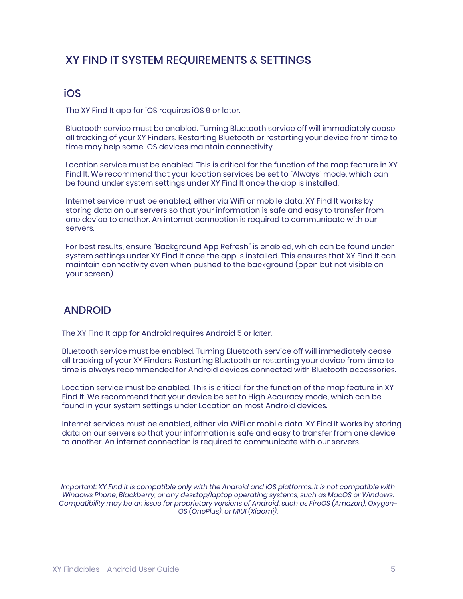## XY FIND IT SYSTEM REQUIREMENTS & SETTINGS

#### iOS

The XY Find It app for iOS requires iOS 9 or later.

Bluetooth service must be enabled. Turning Bluetooth service off will immediately cease all tracking of your XY Finders. Restarting Bluetooth or restarting your device from time to time may help some iOS devices maintain connectivity.

Location service must be enabled. This is critical for the function of the map feature in XY Find It. We recommend that your location services be set to "Always" mode, which can be found under system settings under XY Find It once the app is installed.

Internet service must be enabled, either via WiFi or mobile data. XY Find It works by storing data on our servers so that your information is safe and easy to transfer from one device to another. An internet connection is required to communicate with our servers.

For best results, ensure "Background App Refresh" is enabled, which can be found under system settings under XY Find It once the app is installed. This ensures that XY Find It can maintain connectivity even when pushed to the background (open but not visible on your screen).

## ANDROID

The XY Find It app for Android requires Android 5 or later.

Bluetooth service must be enabled. Turning Bluetooth service off will immediately cease all tracking of your XY Finders. Restarting Bluetooth or restarting your device from time to time is always recommended for Android devices connected with Bluetooth accessories.

Location service must be enabled. This is critical for the function of the map feature in XY Find It. We recommend that your device be set to High Accuracy mode, which can be found in your system settings under Location on most Android devices.

Internet services must be enabled, either via WiFi or mobile data. XY Find It works by storing data on our servers so that your information is safe and easy to transfer from one device to another. An internet connection is required to communicate with our servers.

*Important: XY Find It is compatible only with the Android and iOS platforms. It is not compatible with Windows Phone, Blackberry, or any desktop/laptop operating systems, such as MacOS or Windows. Compatibility may be an issue for proprietary versions of Android, such as FireOS (Amazon), Oxygen-OS (OnePlus), or MIUI (Xiaomi).*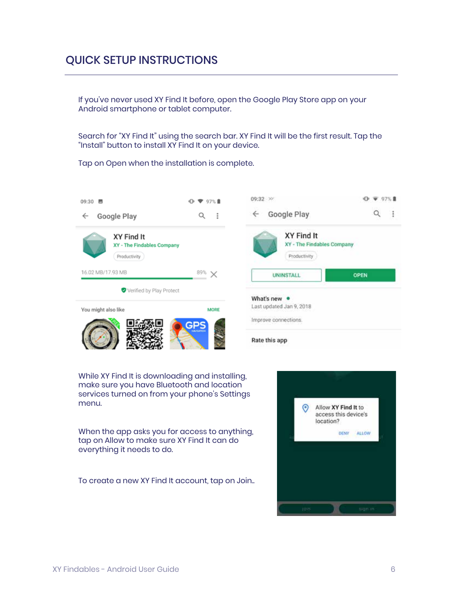If you've never used XY Find It before, open the Google Play Store app on your Android smartphone or tablet computer.

Search for "XY Find It" using the search bar. XY Find It will be the first result. Tap the "Install" button to install XY Find It on your device.

Tap on Open when the installation is complete.



While XY Find It is downloading and installing, make sure you have Bluetooth and location services turned on from your phone's Settings menu.

When the app asks you for access to anything, tap on Allow to make sure XY Find It can do everything it needs to do.

To create a new XY Find It account, tap on Join..



 $0 \times 97%$ 

 $\alpha$ 

 $\mathbf{H}$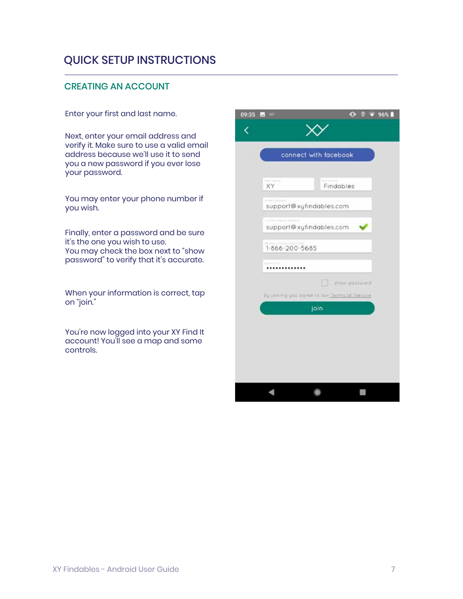#### CREATING AN ACCOUNT

Enter your first and last name.

Next, enter your email address and verify it. Make sure to use a valid email address because we'll use it to send you a new password if you ever lose your password.

You may enter your phone number if you wish.

Finally, enter a password and be sure it's the one you wish to use. You may check the box next to "show password" to verify that it's accurate.

When your information is correct, tap on "join."

You're now logged into your XY Find It account! You'll see a map and some controls.

| 09:35<br>$_{\rm{tot}}$ | $\infty$                                             |                | $\bullet$ | o | 96% |  |
|------------------------|------------------------------------------------------|----------------|-----------|---|-----|--|
|                        |                                                      |                |           |   |     |  |
|                        | connect with facebook                                |                |           |   |     |  |
|                        |                                                      |                |           |   |     |  |
|                        | Turish Inc.<br>XY                                    | Findables      |           |   |     |  |
|                        | support@xyfindables.com                              |                |           |   |     |  |
|                        | or bive amount introduced<br>support@xyfindables.com |                |           |   |     |  |
|                        | Distant,<br>$1 - 866 - 200 - 5685$                   |                |           |   |     |  |
|                        |                                                      |                |           |   |     |  |
|                        | u                                                    | show possword. |           |   |     |  |
|                        | by joining you agree to our Terms of Service<br>join |                |           |   |     |  |
|                        |                                                      |                |           |   |     |  |
|                        |                                                      |                |           |   |     |  |
|                        |                                                      |                |           |   |     |  |
|                        |                                                      |                |           |   |     |  |
|                        |                                                      |                |           |   |     |  |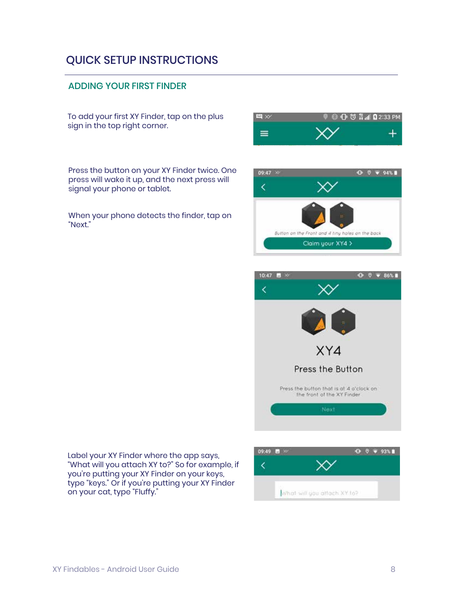#### ADDING YOUR FIRST FINDER

To add your first XY Finder, tap on the plus sign in the top right corner.

Press the button on your XY Finder twice. One press will wake it up, and the next press will signal your phone or tablet.

When your phone detects the finder, tap on "Next."







Label your XY Finder where the app says, "What will you attach XY to?" So for example, if you're putting your XY Finder on your keys, type "keys." Or if you're putting your XY Finder on your cat, type "Fluffy."

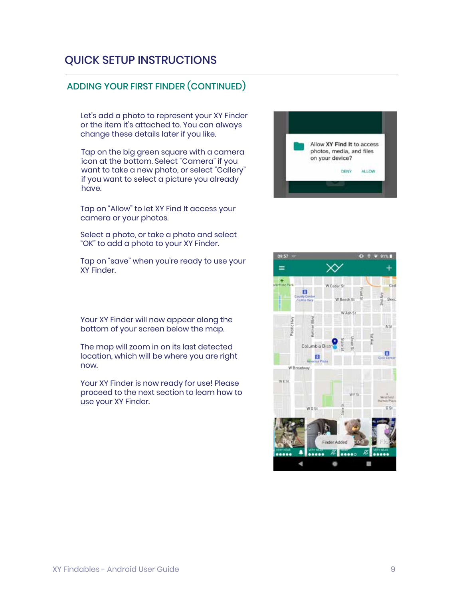## ADDING YOUR FIRST FINDER (CONTINUED)

Let's add a photo to represent your XY Finder or the item it's attached to. You can always change these details later if you like.

Tap on the big green square with a camera icon at the bottom. Select "Camera" if you want to take a new photo, or select "Gallery" if you want to select a picture you already have.

Tap on "Allow" to let XY Find It access your camera or your photos.

Select a photo, or take a photo and select "OK" to add a photo to your XY Finder.

Tap on "save" when you're ready to use your XY Finder.

Your XY Finder will now appear along the bottom of your screen below the map.

The map will zoom in on its last detected location, which will be where you are right now.

Your XY Finder is now ready for use! Please proceed to the next section to learn how to use your XY Finder.



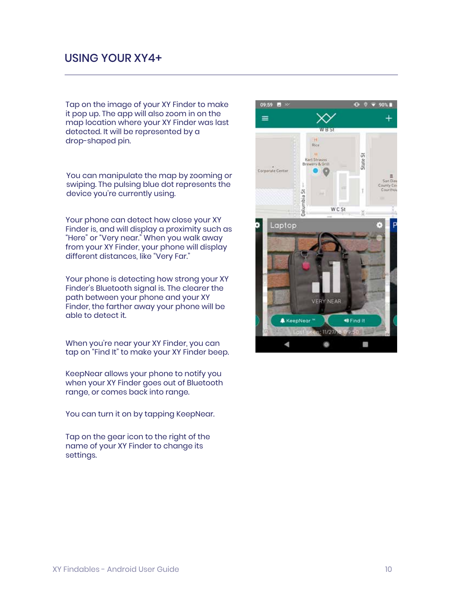### USING YOUR XY4+

Tap on the image of your XY Finder to make it pop up. The app will also zoom in on the map location where your XY Finder was last detected. It will be represented by a drop-shaped pin.

You can manipulate the map by zooming or swiping. The pulsing blue dot represents the device you're currently using.

Your phone can detect how close your XY Finder is, and will display a proximity such as "Here" or "Very near." When you walk away from your XY Finder, your phone will display different distances, like "Very Far."

Your phone is detecting how strong your XY Finder's Bluetooth signal is. The clearer the path between your phone and your XY Finder, the farther away your phone will be able to detect it.

When you're near your XY Finder, you can tap on "Find It" to make your XY Finder beep.

KeepNear allows your phone to notify you when your XY Finder goes out of Bluetooth range, or comes back into range.

You can turn it on by tapping KeepNear.

Tap on the gear icon to the right of the name of your XY Finder to change its settings.

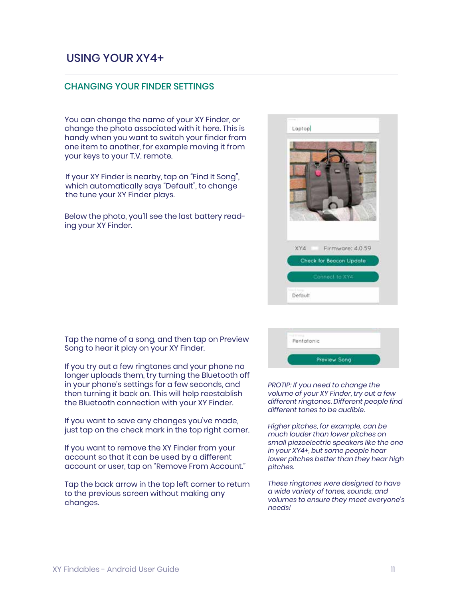## USING YOUR XY4+

#### CHANGING YOUR FINDER SETTINGS

You can change the name of your XY Finder, or change the photo associated with it here. This is handy when you want to switch your finder from one item to another, for example moving it from your keys to your T.V. remote.

If your XY Finder is nearby, tap on "Find It Song", which automatically says "Default", to change the tune your XY Finder plays.

Below the photo, you'll see the last battery reading your XY Finder.



Tap the name of a song, and then tap on Preview Song to hear it play on your XY Finder.

If you try out a few ringtones and your phone no longer uploads them, try turning the Bluetooth off in your phone's settings for a few seconds, and then turning it back on. This will help reestablish the Bluetooth connection with your XY Finder.

If you want to save any changes you've made, just tap on the check mark in the top right corner.

If you want to remove the XY Finder from your account so that it can be used by a different account or user, tap on "Remove From Account."

Tap the back arrow in the top left corner to return to the previous screen without making any changes.

| Pentatonic |              |
|------------|--------------|
|            |              |
|            |              |
|            | Preview Song |

*PROTIP: If you need to change the volume of your XY Finder, try out a few different ringtones. Different people find different tones to be audible.*

*Higher pitches, for example, can be much louder than lower pitches on small piezoelectric speakers like the one in your XY4+, but some people hear lower pitches better than they hear high pitches.*

*These ringtones were designed to have a wide variety of tones, sounds, and volumes to ensure they meet everyone's needs!*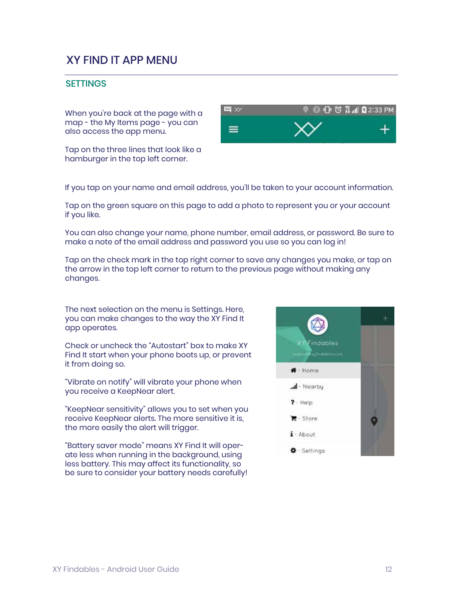## XY FIND IT APP MENU

#### **SETTINGS**

When you're back at the page with a map - the My Items page - you can also access the app menu.

Tap on the three lines that look like a hamburger in the top left corner.



If you tap on your name and email address, you'll be taken to your account information.

Tap on the green square on this page to add a photo to represent you or your account if you like.

You can also change your name, phone number, email address, or password. Be sure to make a note of the email address and password you use so you can log in!

Tap on the check mark in the top right corner to save any changes you make, or tap on the arrow in the top left corner to return to the previous page without making any changes.

The next selection on the menu is Settings. Here, you can make changes to the way the XY Find It app operates.

Check or uncheck the "Autostart" box to make XY Find It start when your phone boots up, or prevent it from doing so.

"Vibrate on notify" will vibrate your phone when you receive a KeepNear alert.

"KeepNear sensitivity" allows you to set when you receive KeepNear alerts. The more sensitive it is, the more easily the alert will trigger.

"Battery saver mode" means XY Find It will operate less when running in the background, using less battery. This may affect its functionality, so be sure to consider your battery needs carefully!

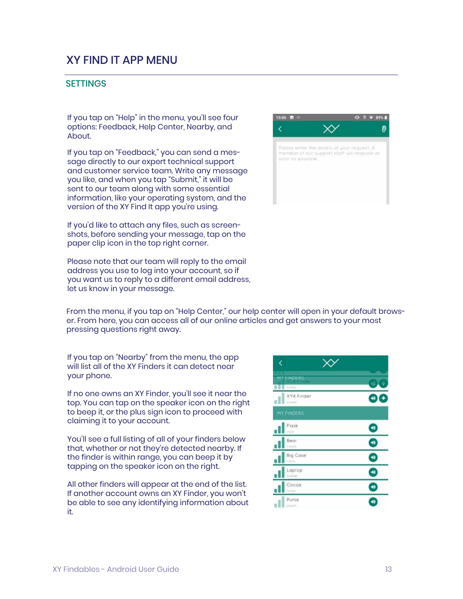## XY FIND IT APP MENU

#### **SETTINGS**

If you tap on "Help" in the menu, you'll see four options: Feedback, Help Center, Nearby, and About.

If you tap on "Feedback," you can send a message directly to our expert technical support and customer service team. Write any message you like, and when you tap "Submit," it will be sent to our team along with some essential information, like your operating system, and the version of the XY Find It app you're using.

If you'd like to attach any files, such as screenshots, before sending your message, tap on the paper clip icon in the top right corner.

Please note that our team will reply to the email address you use to log into your account, so if you want us to reply to a different email address, let us know in your message.

Ø ł Xγ Plasse enter the details of your request. A ze bnoqzer iliw thata freqqua turi reference soon as possible.

From the menu, if you tap on "Help Center," our help center will open in your default browser. From here, you can access all of our online articles and get answers to your most pressing questions right away.

If you tap on "Nearby" from the menu, the app will list all of the XY Finders it can detect near your phone.

If no one owns an XY Finder, you'll see it near the top. You can tap on the speaker icon on the right to beep it, or the plus sign icon to proceed with claiming it to your account.

You'll see a full listing of all of your finders below that, whether or not they're detected nearby. If the finder is within range, you can beep it by tapping on the speaker icon on the right.

All other finders will appear at the end of the list. If another account owns an XY Finder, you won't be able to see any identifying information about it.

| ¢                                 |    |
|-----------------------------------|----|
| <b>MY EINDERS</b><br>80<br>$=0.5$ | ×. |
| XY4 Finder<br>miner.              |    |
| MY FINDERS                        |    |
| Flask<br>citis.                   | 40 |
| Bear<br>113446                    | 40 |
| Big Case<br>Lisbon                | ø  |
| Laptop<br>ni ambié                | 40 |
| Cocoa<br>341000                   | 40 |
| Purse<br>misin                    |    |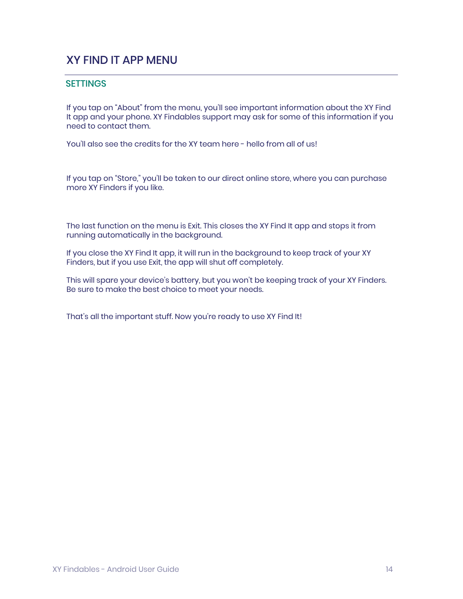## XY FIND IT APP MENU

#### **SETTINGS**

If you tap on "About" from the menu, you'll see important information about the XY Find It app and your phone. XY Findables support may ask for some of this information if you need to contact them.

You'll also see the credits for the XY team here - hello from all of us!

If you tap on "Store," you'll be taken to our direct online store, where you can purchase more XY Finders if you like.

The last function on the menu is Exit. This closes the XY Find It app and stops it from running automatically in the background.

If you close the XY Find It app, it will run in the background to keep track of your XY Finders, but if you use Exit, the app will shut off completely.

This will spare your device's battery, but you won't be keeping track of your XY Finders. Be sure to make the best choice to meet your needs.

That's all the important stuff. Now you're ready to use XY Find It!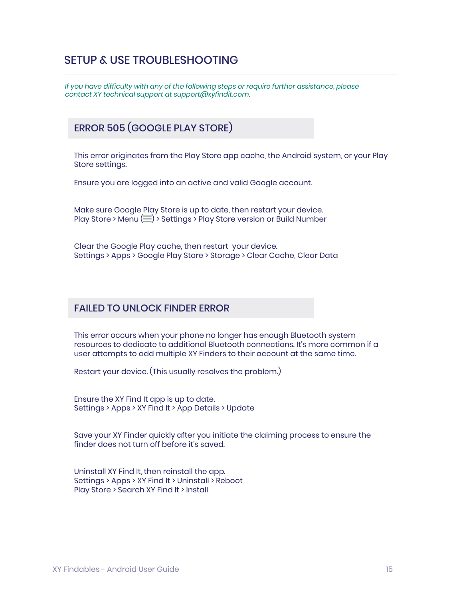*If you have difficulty with any of the following steps or require further assistance, please contact XY technical support at support@xyfindit.com.*

## ERROR 505 (GOOGLE PLAY STORE)

This error originates from the Play Store app cache, the Android system, or your Play Store settings.

Ensure you are logged into an active and valid Google account.

Make sure Google Play Store is up to date, then restart your device. Play Store > Menu ( ) > Settings > Play Store version or Build Number

Clear the Google Play cache, then restart your device. Settings > Apps > Google Play Store > Storage > Clear Cache, Clear Data

#### FAILED TO UNLOCK FINDER ERROR

This error occurs when your phone no longer has enough Bluetooth system resources to dedicate to additional Bluetooth connections. It's more common if a user attempts to add multiple XY Finders to their account at the same time.

Restart your device. (This usually resolves the problem.)

Ensure the XY Find It app is up to date. Settings > Apps > XY Find It > App Details > Update

Save your XY Finder quickly after you initiate the claiming process to ensure the finder does not turn off before it's saved.

Uninstall XY Find It, then reinstall the app. Settings > Apps > XY Find It > Uninstall > Reboot Play Store > Search XY Find It > Install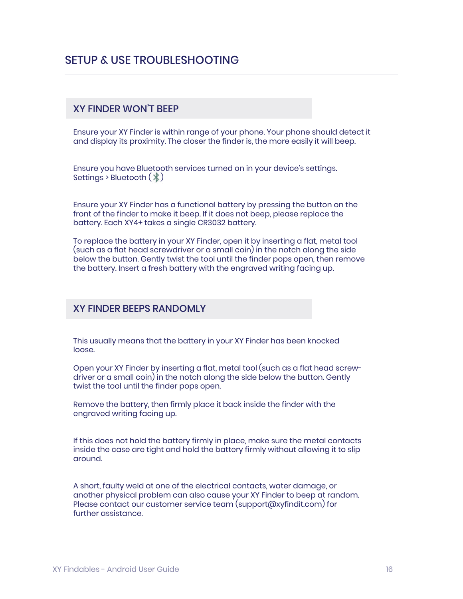#### XY FINDER WON'T BEEP

Ensure your XY Finder is within range of your phone. Your phone should detect it and display its proximity. The closer the finder is, the more easily it will beep.

Ensure you have Bluetooth services turned on in your device's settings. Settings > Bluetooth  $(\frac{1}{2})$ 

Ensure your XY Finder has a functional battery by pressing the button on the front of the finder to make it beep. If it does not beep, please replace the battery. Each XY4+ takes a single CR3032 battery.

To replace the battery in your XY Finder, open it by inserting a flat, metal tool (such as a flat head screwdriver or a small coin) in the notch along the side below the button. Gently twist the tool until the finder pops open, then remove the battery. Insert a fresh battery with the engraved writing facing up.

#### XY FINDER BEEPS RANDOMLY

This usually means that the battery in your XY Finder has been knocked loose.

Open your XY Finder by inserting a flat, metal tool (such as a flat head screwdriver or a small coin) in the notch along the side below the button. Gently twist the tool until the finder pops open.

Remove the battery, then firmly place it back inside the finder with the engraved writing facing up.

If this does not hold the battery firmly in place, make sure the metal contacts inside the case are tight and hold the battery firmly without allowing it to slip around.

A short, faulty weld at one of the electrical contacts, water damage, or another physical problem can also cause your XY Finder to beep at random. Please contact our customer service team (support@xyfindit.com) for further assistance.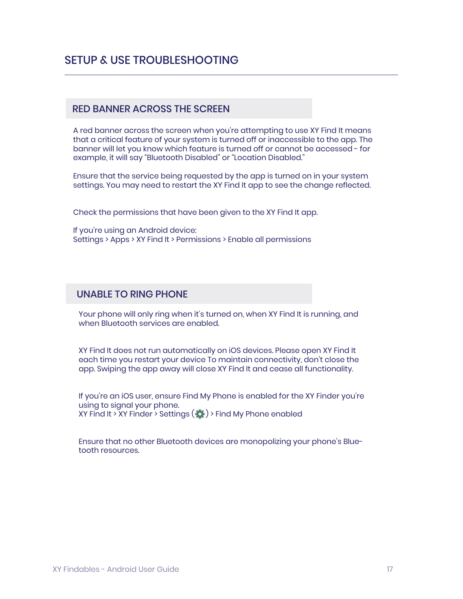#### RED BANNER ACROSS THE SCREEN

A red banner across the screen when you're attempting to use XY Find It means that a critical feature of your system is turned off or inaccessible to the app. The banner will let you know which feature is turned off or cannot be accessed - for example, it will say "Bluetooth Disabled" or "Location Disabled."

Ensure that the service being requested by the app is turned on in your system settings. You may need to restart the XY Find It app to see the change reflected.

Check the permissions that have been given to the XY Find It app.

If you're using an Android device: Settings > Apps > XY Find It > Permissions > Enable all permissions

#### UNABLE TO RING PHONE

Your phone will only ring when it's turned on, when XY Find It is running, and when Bluetooth services are enabled.

XY Find It does not run automatically on iOS devices. Please open XY Find It each time you restart your device To maintain connectivity, don't close the app. Swiping the app away will close XY Find It and cease all functionality.

If you're an iOS user, ensure Find My Phone is enabled for the XY Finder you're using to signal your phone. XY Find It > XY Finder > Settings  $($   $\bullet)$  > Find My Phone enabled

Ensure that no other Bluetooth devices are monopolizing your phone's Bluetooth resources.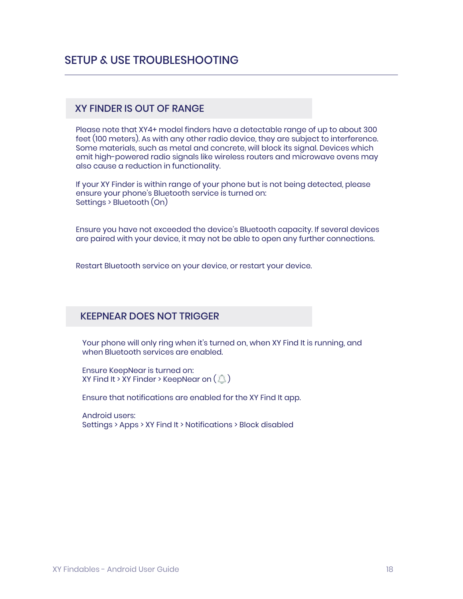#### XY FINDER IS OUT OF RANGE

Please note that XY4+ model finders have a detectable range of up to about 300 feet (100 meters). As with any other radio device, they are subject to interference. Some materials, such as metal and concrete, will block its signal. Devices which emit high-powered radio signals like wireless routers and microwave ovens may also cause a reduction in functionality.

If your XY Finder is within range of your phone but is not being detected, please ensure your phone's Bluetooth service is turned on: Settings > Bluetooth (On)

Ensure you have not exceeded the device's Bluetooth capacity. If several devices are paired with your device, it may not be able to open any further connections.

Restart Bluetooth service on your device, or restart your device.

#### KEEPNEAR DOES NOT TRIGGER

Your phone will only ring when it's turned on, when XY Find It is running, and when Bluetooth services are enabled.

Ensure KeepNear is turned on: XY Find It > XY Finder > KeepNear on  $(\mathbb{Q})$ 

Ensure that notifications are enabled for the XY Find It app.

Android users: Settings > Apps > XY Find It > Notifications > Block disabled